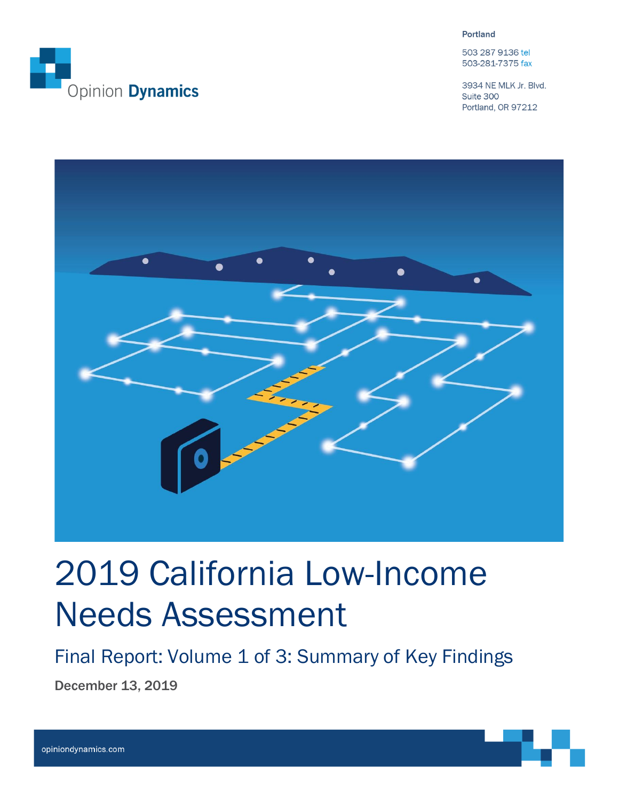

**Portland** 

503 287 9136 tel 503-281-7375 fax

3934 NE MLK Jr. Blvd. Suite 300 Portland, OR 97212



# 2019 California Low-Income Needs Assessment

Final Report: Volume 1 of 3: Summary of Key Findings

December 13, 2019

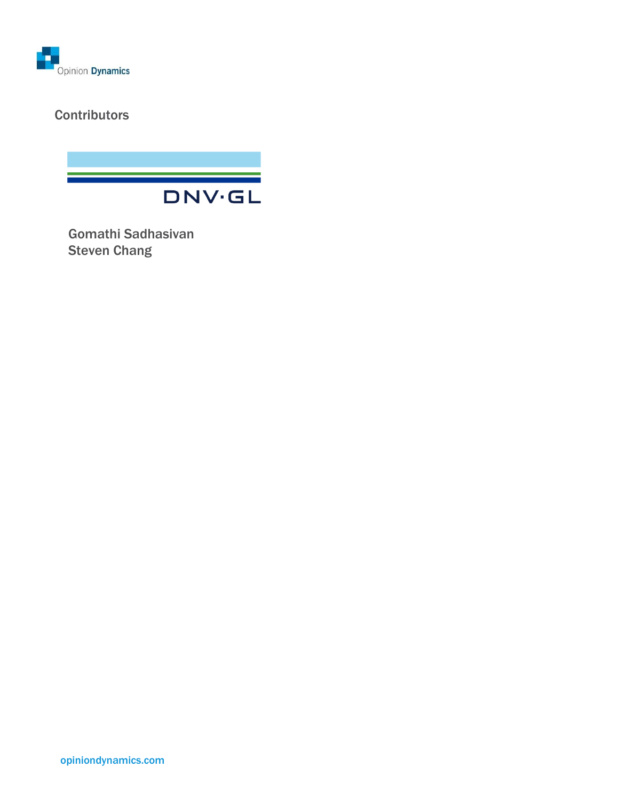

### **Contributors**



Gomathi Sadhasivan Steven Chang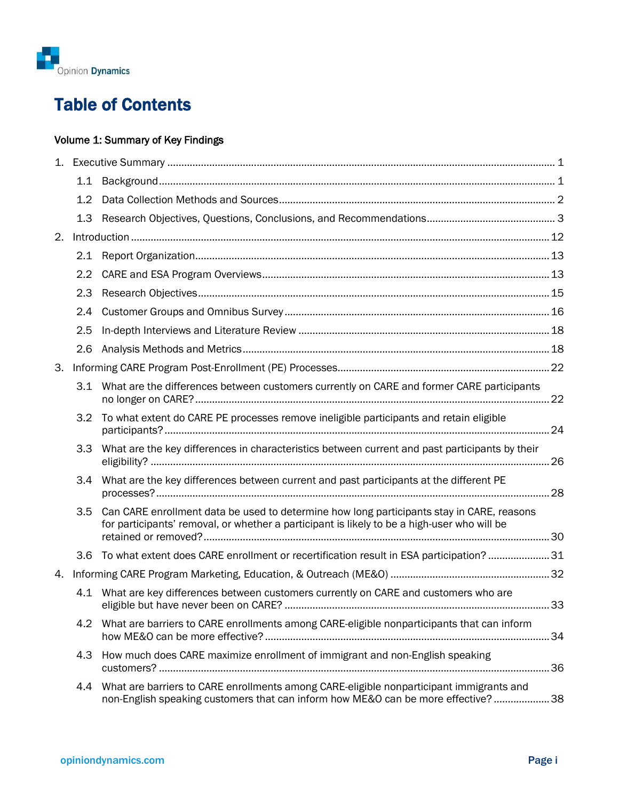

# Table of Contents

### Volume 1: Summary of Key Findings

|    | 1.1           |                                                                                                                                                                                          |    |
|----|---------------|------------------------------------------------------------------------------------------------------------------------------------------------------------------------------------------|----|
|    | $1.2^{\circ}$ |                                                                                                                                                                                          |    |
|    | 1.3           |                                                                                                                                                                                          |    |
| 2. |               |                                                                                                                                                                                          |    |
|    |               |                                                                                                                                                                                          |    |
|    | 2.2           |                                                                                                                                                                                          |    |
|    | 2.3           |                                                                                                                                                                                          |    |
|    | 2.4           |                                                                                                                                                                                          |    |
|    | 2.5           |                                                                                                                                                                                          |    |
|    | 2.6           |                                                                                                                                                                                          |    |
| 3. |               |                                                                                                                                                                                          |    |
|    |               | 3.1 What are the differences between customers currently on CARE and former CARE participants                                                                                            |    |
|    | 3.2           | To what extent do CARE PE processes remove ineligible participants and retain eligible                                                                                                   |    |
|    | 3.3           | What are the key differences in characteristics between current and past participants by their                                                                                           |    |
|    | $3.4^{\circ}$ | What are the key differences between current and past participants at the different PE                                                                                                   |    |
|    | 3.5           | Can CARE enrollment data be used to determine how long participants stay in CARE, reasons<br>for participants' removal, or whether a participant is likely to be a high-user who will be |    |
|    | 3.6           | To what extent does CARE enrollment or recertification result in ESA participation? 31                                                                                                   |    |
| 4. |               |                                                                                                                                                                                          |    |
|    |               | 4.1 What are key differences between customers currently on CARE and customers who are                                                                                                   | 33 |
|    | 4.2           | What are barriers to CARE enrollments among CARE-eligible nonparticipants that can inform                                                                                                |    |
|    | 4.3           | How much does CARE maximize enrollment of immigrant and non-English speaking                                                                                                             |    |
|    | 4.4           | What are barriers to CARE enrollments among CARE-eligible nonparticipant immigrants and<br>non-English speaking customers that can inform how ME&O can be more effective? 38             |    |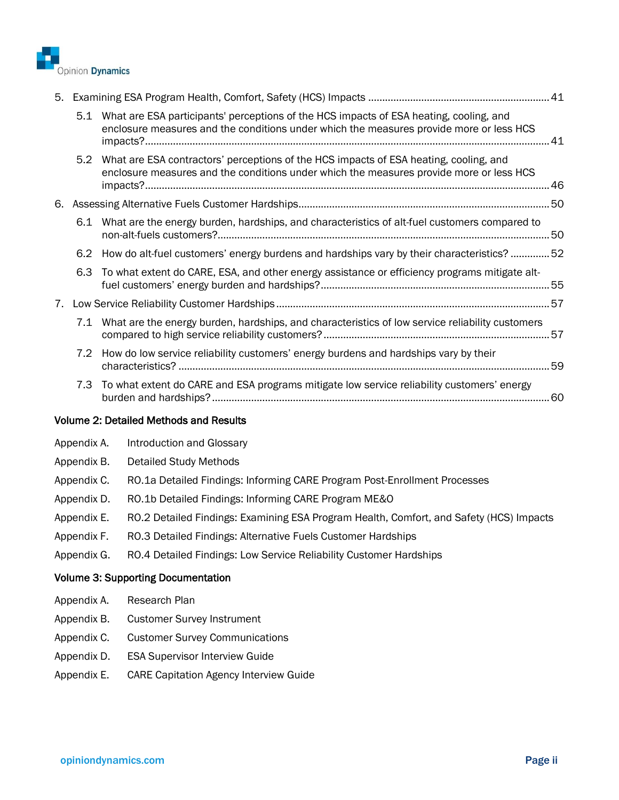

| 5. |     |                                                                                                                                                                                       |  |
|----|-----|---------------------------------------------------------------------------------------------------------------------------------------------------------------------------------------|--|
|    |     | 5.1 What are ESA participants' perceptions of the HCS impacts of ESA heating, cooling, and<br>enclosure measures and the conditions under which the measures provide more or less HCS |  |
|    |     | 5.2 What are ESA contractors' perceptions of the HCS impacts of ESA heating, cooling, and<br>enclosure measures and the conditions under which the measures provide more or less HCS  |  |
|    |     |                                                                                                                                                                                       |  |
|    |     | 6.1 What are the energy burden, hardships, and characteristics of alt-fuel customers compared to                                                                                      |  |
|    |     | 6.2 How do alt-fuel customers' energy burdens and hardships vary by their characteristics? 52                                                                                         |  |
|    | 6.3 | To what extent do CARE, ESA, and other energy assistance or efficiency programs mitigate alt-                                                                                         |  |
| 7. |     |                                                                                                                                                                                       |  |
|    |     | 7.1 What are the energy burden, hardships, and characteristics of low service reliability customers                                                                                   |  |
|    | 7.2 | How do low service reliability customers' energy burdens and hardships vary by their                                                                                                  |  |
|    |     | 7.3 To what extent do CARE and ESA programs mitigate low service reliability customers' energy                                                                                        |  |
|    |     | <b>Volume 2: Detailed Methods and Results</b>                                                                                                                                         |  |

| Appendix A. Introduction and Glossary                                     |
|---------------------------------------------------------------------------|
| Detailed Study Methods                                                    |
| RO.1a Detailed Findings: Informing CARE Program Post-Enrollment Processes |
| Appendix D. RO.1b Detailed Findings: Informing CARE Program ME&O          |
|                                                                           |

- Appendix E. RO.2 Detailed Findings: Examining ESA Program Health, Comfort, and Safety (HCS) Impacts
- Appendix F. RO.3 Detailed Findings: Alternative Fuels Customer Hardships
- Appendix G. RO.4 Detailed Findings: Low Service Reliability Customer Hardships

#### Volume 3: Supporting Documentation

- Appendix A. Research Plan
- Appendix B. Customer Survey Instrument
- Appendix C. Customer Survey Communications
- Appendix D. ESA Supervisor Interview Guide
- Appendix E. CARE Capitation Agency Interview Guide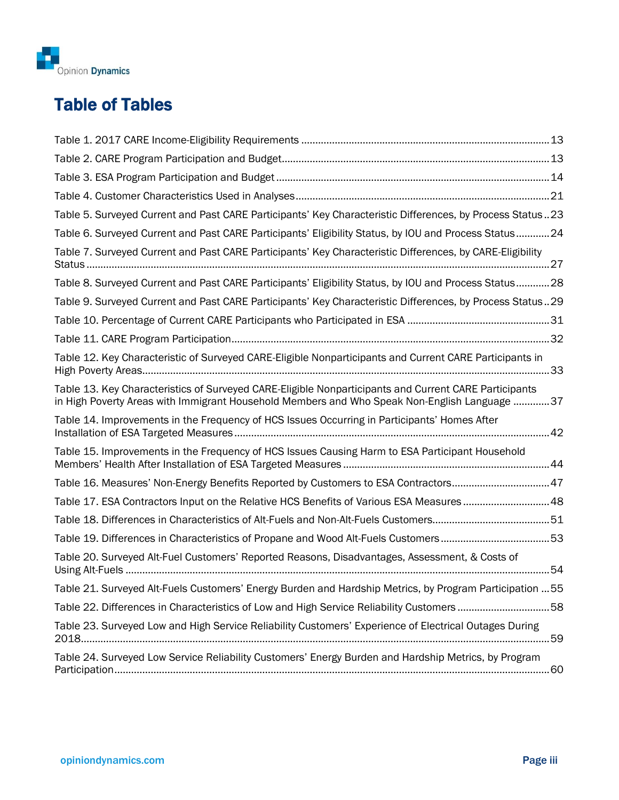

# Table of Tables

| Table 5. Surveyed Current and Past CARE Participants' Key Characteristic Differences, by Process Status23                                                                                             |
|-------------------------------------------------------------------------------------------------------------------------------------------------------------------------------------------------------|
| Table 6. Surveyed Current and Past CARE Participants' Eligibility Status, by IOU and Process Status24                                                                                                 |
| Table 7. Surveyed Current and Past CARE Participants' Key Characteristic Differences, by CARE-Eligibility                                                                                             |
| Table 8. Surveyed Current and Past CARE Participants' Eligibility Status, by IOU and Process Status28                                                                                                 |
| Table 9. Surveyed Current and Past CARE Participants' Key Characteristic Differences, by Process Status29                                                                                             |
|                                                                                                                                                                                                       |
|                                                                                                                                                                                                       |
| Table 12. Key Characteristic of Surveyed CARE-Eligible Nonparticipants and Current CARE Participants in                                                                                               |
| Table 13. Key Characteristics of Surveyed CARE-Eligible Nonparticipants and Current CARE Participants<br>in High Poverty Areas with Immigrant Household Members and Who Speak Non-English Language 37 |
| Table 14. Improvements in the Frequency of HCS Issues Occurring in Participants' Homes After                                                                                                          |
| Table 15. Improvements in the Frequency of HCS Issues Causing Harm to ESA Participant Household                                                                                                       |
| Table 16. Measures' Non-Energy Benefits Reported by Customers to ESA Contractors47                                                                                                                    |
| Table 17. ESA Contractors Input on the Relative HCS Benefits of Various ESA Measures48                                                                                                                |
|                                                                                                                                                                                                       |
| Table 19. Differences in Characteristics of Propane and Wood Alt-Fuels Customers53                                                                                                                    |
| Table 20. Surveyed Alt-Fuel Customers' Reported Reasons, Disadvantages, Assessment, & Costs of                                                                                                        |
| Table 21. Surveyed Alt-Fuels Customers' Energy Burden and Hardship Metrics, by Program Participation  55                                                                                              |
| Table 22. Differences in Characteristics of Low and High Service Reliability Customers 58                                                                                                             |
| Table 23. Surveyed Low and High Service Reliability Customers' Experience of Electrical Outages During<br>.59                                                                                         |
| Table 24. Surveyed Low Service Reliability Customers' Energy Burden and Hardship Metrics, by Program                                                                                                  |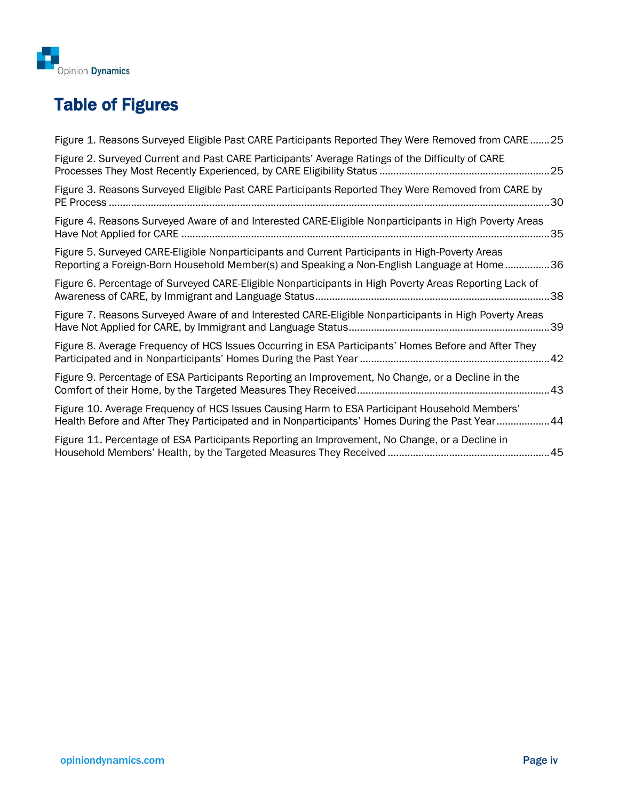

# Table of Figures

| Figure 1. Reasons Surveyed Eligible Past CARE Participants Reported They Were Removed from CARE25                                                                                               |     |
|-------------------------------------------------------------------------------------------------------------------------------------------------------------------------------------------------|-----|
| Figure 2. Surveyed Current and Past CARE Participants' Average Ratings of the Difficulty of CARE                                                                                                | 25  |
| Figure 3. Reasons Surveyed Eligible Past CARE Participants Reported They Were Removed from CARE by                                                                                              |     |
| Figure 4. Reasons Surveyed Aware of and Interested CARE-Eligible Nonparticipants in High Poverty Areas                                                                                          | .35 |
| Figure 5. Surveyed CARE-Eligible Nonparticipants and Current Participants in High-Poverty Areas<br>Reporting a Foreign-Born Household Member(s) and Speaking a Non-English Language at Home36   |     |
| Figure 6. Percentage of Surveyed CARE-Eligible Nonparticipants in High Poverty Areas Reporting Lack of                                                                                          | 38  |
| Figure 7. Reasons Surveyed Aware of and Interested CARE-Eligible Nonparticipants in High Poverty Areas                                                                                          | 39  |
| Figure 8. Average Frequency of HCS Issues Occurring in ESA Participants' Homes Before and After They                                                                                            |     |
| Figure 9. Percentage of ESA Participants Reporting an Improvement, No Change, or a Decline in the                                                                                               |     |
| Figure 10. Average Frequency of HCS Issues Causing Harm to ESA Participant Household Members'<br>Health Before and After They Participated and in Nonparticipants' Homes During the Past Year44 |     |
| Figure 11. Percentage of ESA Participants Reporting an Improvement, No Change, or a Decline in                                                                                                  |     |
|                                                                                                                                                                                                 |     |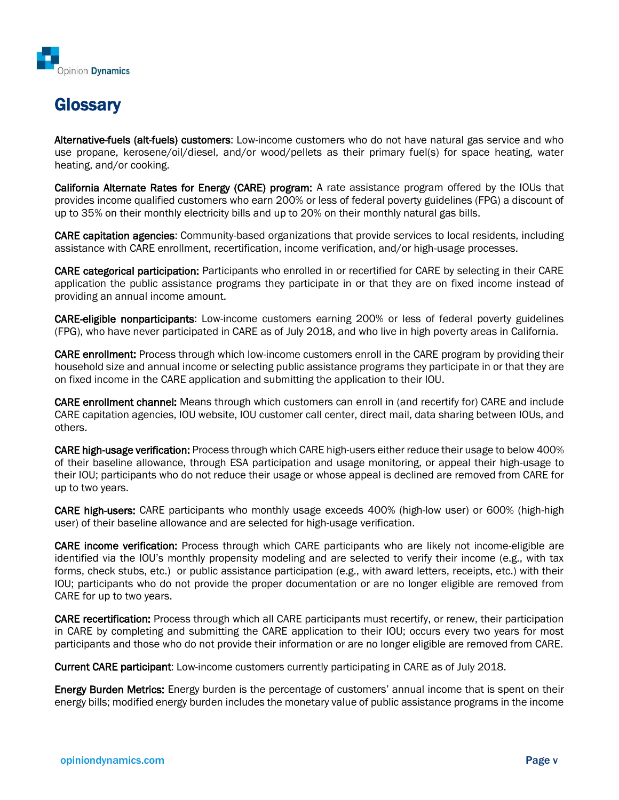

# **Glossary**

Alternative-fuels (alt-fuels) customers: Low-income customers who do not have natural gas service and who use propane, kerosene/oil/diesel, and/or wood/pellets as their primary fuel(s) for space heating, water heating, and/or cooking.

California Alternate Rates for Energy (CARE) program: A rate assistance program offered by the IOUs that provides income qualified customers who earn 200% or less of federal poverty guidelines (FPG) a discount of up to 35% on their monthly electricity bills and up to 20% on their monthly natural gas bills.

CARE capitation agencies: Community-based organizations that provide services to local residents, including assistance with CARE enrollment, recertification, income verification, and/or high-usage processes.

CARE categorical participation: Participants who enrolled in or recertified for CARE by selecting in their CARE application the public assistance programs they participate in or that they are on fixed income instead of providing an annual income amount.

CARE-eligible nonparticipants: Low-income customers earning 200% or less of federal poverty guidelines (FPG), who have never participated in CARE as of July 2018, and who live in high poverty areas in California.

CARE enrollment: Process through which low-income customers enroll in the CARE program by providing their household size and annual income or selecting public assistance programs they participate in or that they are on fixed income in the CARE application and submitting the application to their IOU.

CARE enrollment channel: Means through which customers can enroll in (and recertify for) CARE and include CARE capitation agencies, IOU website, IOU customer call center, direct mail, data sharing between IOUs, and others.

CARE high-usage verification: Process through which CARE high-users either reduce their usage to below 400% of their baseline allowance, through ESA participation and usage monitoring, or appeal their high-usage to their IOU; participants who do not reduce their usage or whose appeal is declined are removed from CARE for up to two years.

CARE high-users: CARE participants who monthly usage exceeds 400% (high-low user) or 600% (high-high user) of their baseline allowance and are selected for high-usage verification.

CARE income verification: Process through which CARE participants who are likely not income-eligible are identified via the IOU's monthly propensity modeling and are selected to verify their income (e.g., with tax forms, check stubs, etc.) or public assistance participation (e.g., with award letters, receipts, etc.) with their IOU; participants who do not provide the proper documentation or are no longer eligible are removed from CARE for up to two years.

CARE recertification: Process through which all CARE participants must recertify, or renew, their participation in CARE by completing and submitting the CARE application to their IOU; occurs every two years for most participants and those who do not provide their information or are no longer eligible are removed from CARE.

Current CARE participant: Low-income customers currently participating in CARE as of July 2018.

Energy Burden Metrics: Energy burden is the percentage of customers' annual income that is spent on their energy bills; modified energy burden includes the monetary value of public assistance programs in the income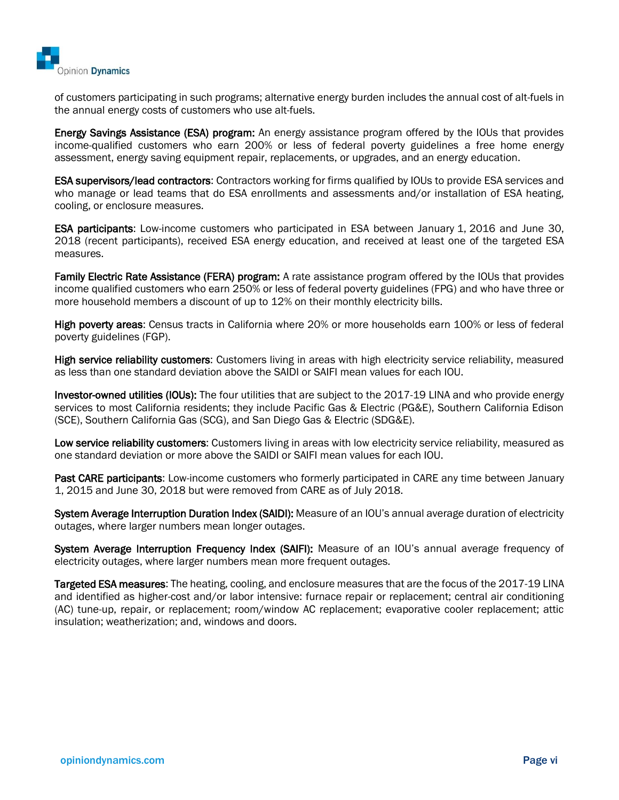

of customers participating in such programs; alternative energy burden includes the annual cost of alt-fuels in the annual energy costs of customers who use alt-fuels.

Energy Savings Assistance (ESA) program: An energy assistance program offered by the IOUs that provides income-qualified customers who earn 200% or less of federal poverty guidelines a free home energy assessment, energy saving equipment repair, replacements, or upgrades, and an energy education.

ESA supervisors/lead contractors: Contractors working for firms qualified by IOUs to provide ESA services and who manage or lead teams that do ESA enrollments and assessments and/or installation of ESA heating, cooling, or enclosure measures.

ESA participants: Low-income customers who participated in ESA between January 1, 2016 and June 30, 2018 (recent participants), received ESA energy education, and received at least one of the targeted ESA measures.

Family Electric Rate Assistance (FERA) program: A rate assistance program offered by the IOUs that provides income qualified customers who earn 250% or less of federal poverty guidelines (FPG) and who have three or more household members a discount of up to 12% on their monthly electricity bills.

High poverty areas: Census tracts in California where 20% or more households earn 100% or less of federal poverty guidelines (FGP).

High service reliability customers: Customers living in areas with high electricity service reliability, measured as less than one standard deviation above the SAIDI or SAIFI mean values for each IOU.

Investor-owned utilities (IOUs): The four utilities that are subject to the 2017-19 LINA and who provide energy services to most California residents; they include Pacific Gas & Electric (PG&E), Southern California Edison (SCE), Southern California Gas (SCG), and San Diego Gas & Electric (SDG&E).

Low service reliability customers: Customers living in areas with low electricity service reliability, measured as one standard deviation or more above the SAIDI or SAIFI mean values for each IOU.

Past CARE participants: Low-income customers who formerly participated in CARE any time between January 1, 2015 and June 30, 2018 but were removed from CARE as of July 2018.

System Average Interruption Duration Index (SAIDI): Measure of an IOU's annual average duration of electricity outages, where larger numbers mean longer outages.

System Average Interruption Frequency Index (SAIFI): Measure of an IOU's annual average frequency of electricity outages, where larger numbers mean more frequent outages.

Targeted ESA measures: The heating, cooling, and enclosure measures that are the focus of the 2017-19 LINA and identified as higher-cost and/or labor intensive: furnace repair or replacement; central air conditioning (AC) tune-up, repair, or replacement; room/window AC replacement; evaporative cooler replacement; attic insulation; weatherization; and, windows and doors.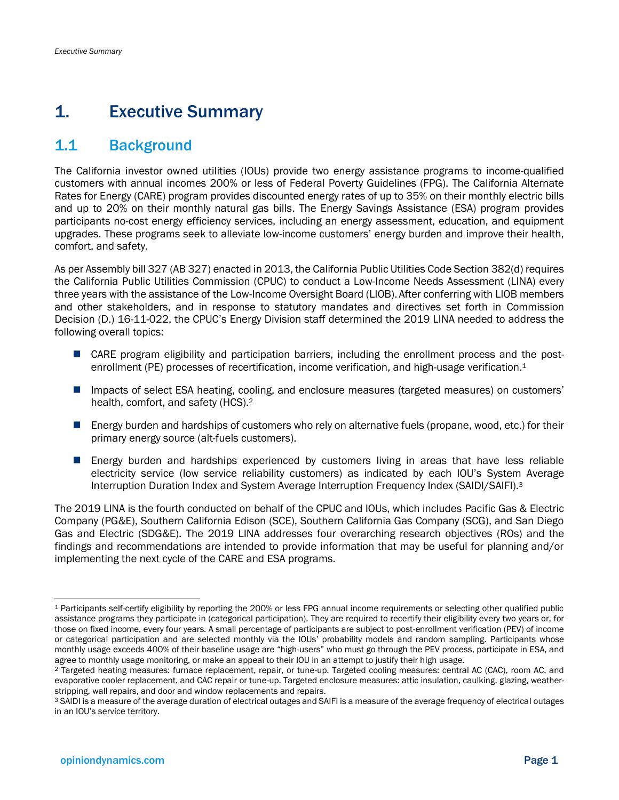# <span id="page-8-0"></span>1. Executive Summary

### <span id="page-8-1"></span>1.1 Background

The California investor owned utilities (IOUs) provide two energy assistance programs to income-qualified customers with annual incomes 200% or less of Federal Poverty Guidelines (FPG). The California Alternate Rates for Energy (CARE) program provides discounted energy rates of up to 35% on their monthly electric bills and up to 20% on their monthly natural gas bills. The Energy Savings Assistance (ESA) program provides participants no-cost energy efficiency services, including an energy assessment, education, and equipment upgrades. These programs seek to alleviate low-income customers' energy burden and improve their health, comfort, and safety.

As per Assembly bill 327 (AB 327) enacted in 2013, the California Public Utilities Code Section 382(d) requires the California Public Utilities Commission (CPUC) to conduct a Low-Income Needs Assessment (LINA) every three years with the assistance of the Low-Income Oversight Board (LIOB). After conferring with LIOB members and other stakeholders, and in response to statutory mandates and directives set forth in Commission Decision (D.) 16-11-022, the CPUC's Energy Division staff determined the 2019 LINA needed to address the following overall topics:

- CARE program eligibility and participation barriers, including the enrollment process and the postenrollment (PE) processes of recertification, income verification, and high-usage verification.<sup>1</sup>
- Impacts of select ESA heating, cooling, and enclosure measures (targeted measures) on customers' health, comfort, and safety (HCS).<sup>2</sup>
- Energy burden and hardships of customers who rely on alternative fuels (propane, wood, etc.) for their primary energy source (alt-fuels customers).
- Energy burden and hardships experienced by customers living in areas that have less reliable electricity service (low service reliability customers) as indicated by each IOU's System Average Interruption Duration Index and System Average Interruption Frequency Index (SAIDI/SAIFI).<sup>3</sup>

The 2019 LINA is the fourth conducted on behalf of the CPUC and IOUs, which includes Pacific Gas & Electric Company (PG&E), Southern California Edison (SCE), Southern California Gas Company (SCG), and San Diego Gas and Electric (SDG&E). The 2019 LINA addresses four overarching research objectives (ROs) and the findings and recommendations are intended to provide information that may be useful for planning and/or implementing the next cycle of the CARE and ESA programs.

<sup>1</sup> Participants self-certify eligibility by reporting the 200% or less FPG annual income requirements or selecting other qualified public assistance programs they participate in (categorical participation). They are required to recertify their eligibility every two years or, for those on fixed income, every four years. A small percentage of participants are subject to post-enrollment verification (PEV) of income or categorical participation and are selected monthly via the IOUs' probability models and random sampling. Participants whose monthly usage exceeds 400% of their baseline usage are "high-users" who must go through the PEV process, participate in ESA, and agree to monthly usage monitoring, or make an appeal to their IOU in an attempt to justify their high usage.

<sup>2</sup> Targeted heating measures: furnace replacement, repair, or tune-up. Targeted cooling measures: central AC (CAC), room AC, and evaporative cooler replacement, and CAC repair or tune-up. Targeted enclosure measures: attic insulation, caulking, glazing, weatherstripping, wall repairs, and door and window replacements and repairs.

<sup>3</sup> SAIDI is a measure of the average duration of electrical outages and SAIFI is a measure of the average frequency of electrical outages in an IOU's service territory.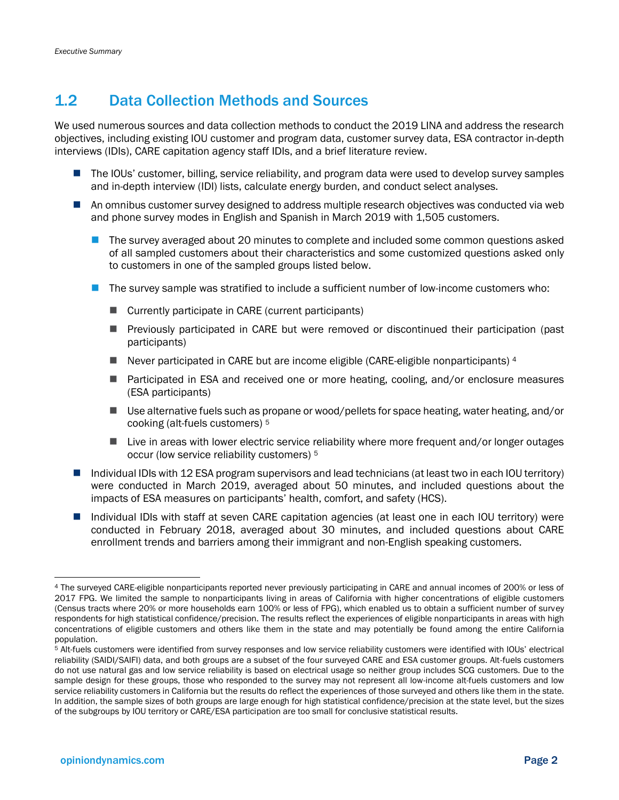### <span id="page-9-0"></span>1.2 Data Collection Methods and Sources

We used numerous sources and data collection methods to conduct the 2019 LINA and address the research objectives, including existing IOU customer and program data, customer survey data, ESA contractor in-depth interviews (IDIs), CARE capitation agency staff IDIs, and a brief literature review.

- The IOUs' customer, billing, service reliability, and program data were used to develop survey samples and in-depth interview (IDI) lists, calculate energy burden, and conduct select analyses.
- An omnibus customer survey designed to address multiple research objectives was conducted via web and phone survey modes in English and Spanish in March 2019 with 1,505 customers.
	- The survey averaged about 20 minutes to complete and included some common questions asked of all sampled customers about their characteristics and some customized questions asked only to customers in one of the sampled groups listed below.
	- The survey sample was stratified to include a sufficient number of low-income customers who:
		- Currently participate in CARE (current participants)
		- Previously participated in CARE but were removed or discontinued their participation (past participants)
		- Never participated in CARE but are income eligible (CARE-eligible nonparticipants) <sup>4</sup>
		- Participated in ESA and received one or more heating, cooling, and/or enclosure measures (ESA participants)
		- Use alternative fuels such as propane or wood/pellets for space heating, water heating, and/or cooking (alt-fuels customers) <sup>5</sup>
		- Live in areas with lower electric service reliability where more frequent and/or longer outages occur (low service reliability customers) <sup>5</sup>
- Individual IDIs with 12 ESA program supervisors and lead technicians (at least two in each IOU territory) were conducted in March 2019, averaged about 50 minutes, and included questions about the impacts of ESA measures on participants' health, comfort, and safety (HCS).
- Individual IDIs with staff at seven CARE capitation agencies (at least one in each IOU territory) were conducted in February 2018, averaged about 30 minutes, and included questions about CARE enrollment trends and barriers among their immigrant and non-English speaking customers.

<sup>4</sup> The surveyed CARE-eligible nonparticipants reported never previously participating in CARE and annual incomes of 200% or less of 2017 FPG. We limited the sample to nonparticipants living in areas of California with higher concentrations of eligible customers (Census tracts where 20% or more households earn 100% or less of FPG), which enabled us to obtain a sufficient number of survey respondents for high statistical confidence/precision. The results reflect the experiences of eligible nonparticipants in areas with high concentrations of eligible customers and others like them in the state and may potentially be found among the entire California population.

<sup>5</sup> Alt-fuels customers were identified from survey responses and low service reliability customers were identified with IOUs' electrical reliability (SAIDI/SAIFI) data, and both groups are a subset of the four surveyed CARE and ESA customer groups. Alt-fuels customers do not use natural gas and low service reliability is based on electrical usage so neither group includes SCG customers. Due to the sample design for these groups, those who responded to the survey may not represent all low-income alt-fuels customers and low service reliability customers in California but the results do reflect the experiences of those surveyed and others like them in the state. In addition, the sample sizes of both groups are large enough for high statistical confidence/precision at the state level, but the sizes of the subgroups by IOU territory or CARE/ESA participation are too small for conclusive statistical results.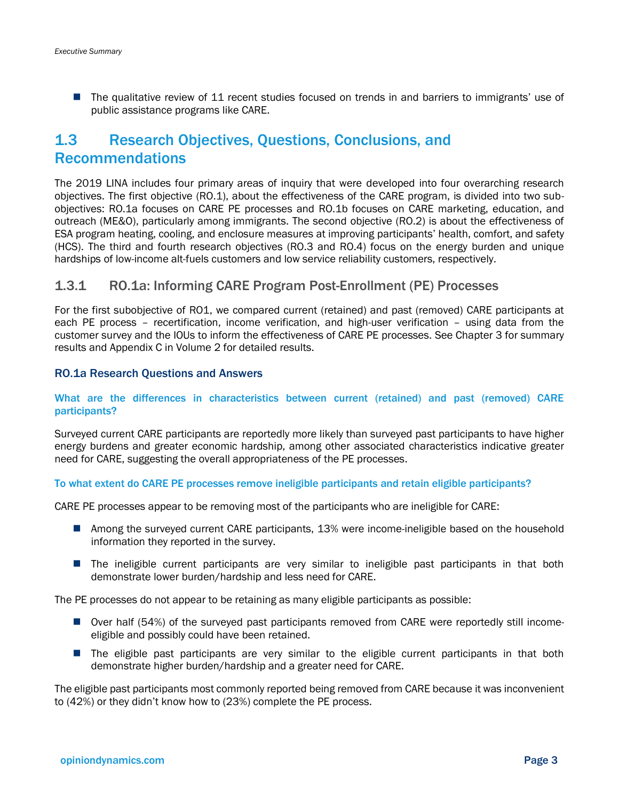■ The qualitative review of 11 recent studies focused on trends in and barriers to immigrants' use of public assistance programs like CARE.

### <span id="page-10-0"></span>1.3 Research Objectives, Questions, Conclusions, and Recommendations

The 2019 LINA includes four primary areas of inquiry that were developed into four overarching research objectives. The first objective (RO.1), about the effectiveness of the CARE program, is divided into two subobjectives: RO.1a focuses on CARE PE processes and RO.1b focuses on CARE marketing, education, and outreach (ME&O), particularly among immigrants. The second objective (RO.2) is about the effectiveness of ESA program heating, cooling, and enclosure measures at improving participants' health, comfort, and safety (HCS). The third and fourth research objectives (RO.3 and RO.4) focus on the energy burden and unique hardships of low-income alt-fuels customers and low service reliability customers, respectively.

#### 1.3.1 RO.1a: Informing CARE Program Post-Enrollment (PE) Processes

For the first subobjective of RO1, we compared current (retained) and past (removed) CARE participants at each PE process – recertification, income verification, and high-user verification – using data from the customer survey and the IOUs to inform the effectiveness of CARE PE processes. See Chapter 3 for summary results and Appendix C in Volume 2 for detailed results.

#### RO.1a Research Questions and Answers

#### What are the differences in characteristics between current (retained) and past (removed) CARE participants?

Surveyed current CARE participants are reportedly more likely than surveyed past participants to have higher energy burdens and greater economic hardship, among other associated characteristics indicative greater need for CARE, suggesting the overall appropriateness of the PE processes.

#### To what extent do CARE PE processes remove ineligible participants and retain eligible participants?

CARE PE processes appear to be removing most of the participants who are ineligible for CARE:

- Among the surveyed current CARE participants, 13% were income-ineligible based on the household information they reported in the survey.
- The ineligible current participants are very similar to ineligible past participants in that both demonstrate lower burden/hardship and less need for CARE.

The PE processes do not appear to be retaining as many eligible participants as possible:

- Over half (54%) of the surveyed past participants removed from CARE were reportedly still incomeeligible and possibly could have been retained.
- The eligible past participants are very similar to the eligible current participants in that both demonstrate higher burden/hardship and a greater need for CARE.

The eligible past participants most commonly reported being removed from CARE because it was inconvenient to (42%) or they didn't know how to (23%) complete the PE process.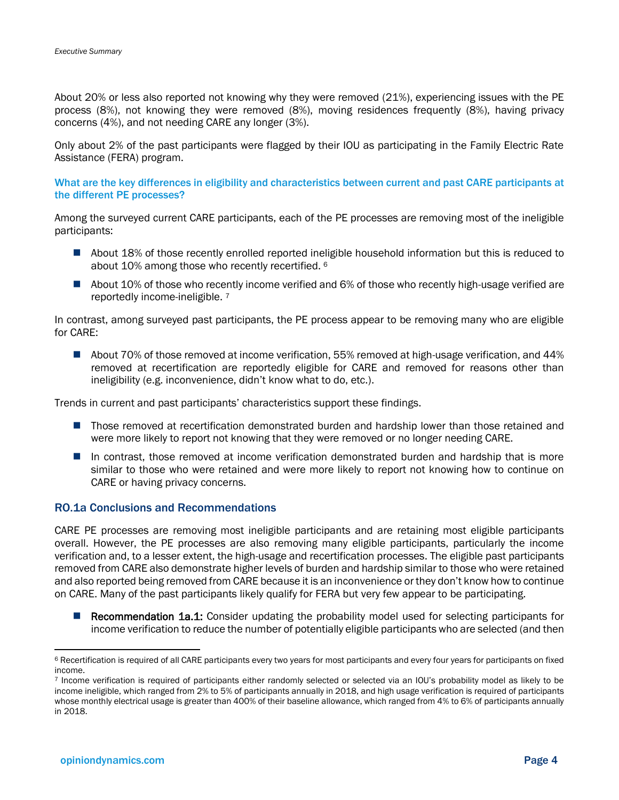About 20% or less also reported not knowing why they were removed (21%), experiencing issues with the PE process (8%), not knowing they were removed (8%), moving residences frequently (8%), having privacy concerns (4%), and not needing CARE any longer (3%).

Only about 2% of the past participants were flagged by their IOU as participating in the Family Electric Rate Assistance (FERA) program.

What are the key differences in eligibility and characteristics between current and past CARE participants at the different PE processes?

Among the surveyed current CARE participants, each of the PE processes are removing most of the ineligible participants:

- About 18% of those recently enrolled reported ineligible household information but this is reduced to about 10% among those who recently recertified. <sup>6</sup>
- About 10% of those who recently income verified and 6% of those who recently high-usage verified are reportedly income-ineligible.<sup>7</sup>

In contrast, among surveyed past participants, the PE process appear to be removing many who are eligible for CARE:

■ About 70% of those removed at income verification, 55% removed at high-usage verification, and 44% removed at recertification are reportedly eligible for CARE and removed for reasons other than ineligibility (e.g. inconvenience, didn't know what to do, etc.).

Trends in current and past participants' characteristics support these findings.

- Those removed at recertification demonstrated burden and hardship lower than those retained and were more likely to report not knowing that they were removed or no longer needing CARE.
- In contrast, those removed at income verification demonstrated burden and hardship that is more similar to those who were retained and were more likely to report not knowing how to continue on CARE or having privacy concerns.

#### RO.1a Conclusions and Recommendations

CARE PE processes are removing most ineligible participants and are retaining most eligible participants overall. However, the PE processes are also removing many eligible participants, particularly the income verification and, to a lesser extent, the high-usage and recertification processes. The eligible past participants removed from CARE also demonstrate higher levels of burden and hardship similar to those who were retained and also reported being removed from CARE because it is an inconvenience or they don't know how to continue on CARE. Many of the past participants likely qualify for FERA but very few appear to be participating.

■ Recommendation 1a.1: Consider updating the probability model used for selecting participants for income verification to reduce the number of potentially eligible participants who are selected (and then

<sup>&</sup>lt;sup>6</sup> Recertification is required of all CARE participants every two years for most participants and every four years for participants on fixed income.

<sup>7</sup> Income verification is required of participants either randomly selected or selected via an IOU's probability model as likely to be income ineligible, which ranged from 2% to 5% of participants annually in 2018, and high usage verification is required of participants whose monthly electrical usage is greater than 400% of their baseline allowance, which ranged from 4% to 6% of participants annually in 2018.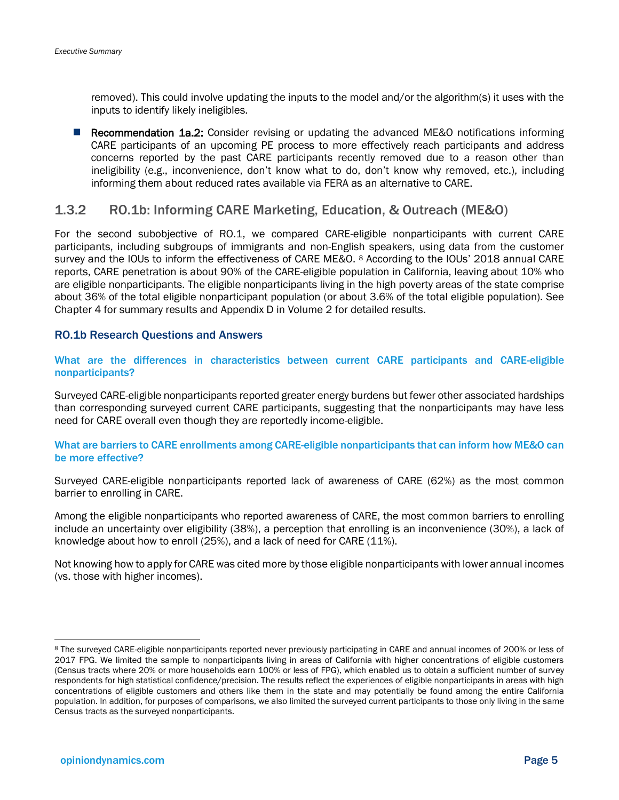removed). This could involve updating the inputs to the model and/or the algorithm(s) it uses with the inputs to identify likely ineligibles.

■ Recommendation 1a.2: Consider revising or updating the advanced ME&O notifications informing CARE participants of an upcoming PE process to more effectively reach participants and address concerns reported by the past CARE participants recently removed due to a reason other than ineligibility (e.g., inconvenience, don't know what to do, don't know why removed, etc.), including informing them about reduced rates available via FERA as an alternative to CARE.

#### 1.3.2 RO.1b: Informing CARE Marketing, Education, & Outreach (ME&O)

For the second subobjective of RO.1, we compared CARE-eligible nonparticipants with current CARE participants, including subgroups of immigrants and non-English speakers, using data from the customer survey and the IOUs to inform the effectiveness of CARE ME&O. <sup>8</sup> According to the IOUs' 2018 annual CARE reports, CARE penetration is about 90% of the CARE-eligible population in California, leaving about 10% who are eligible nonparticipants. The eligible nonparticipants living in the high poverty areas of the state comprise about 36% of the total eligible nonparticipant population (or about 3.6% of the total eligible population). See Chapter 4 for summary results and Appendix D in Volume 2 for detailed results.

#### RO.1b Research Questions and Answers

What are the differences in characteristics between current CARE participants and CARE-eligible nonparticipants?

Surveyed CARE-eligible nonparticipants reported greater energy burdens but fewer other associated hardships than corresponding surveyed current CARE participants, suggesting that the nonparticipants may have less need for CARE overall even though they are reportedly income-eligible.

#### What are barriers to CARE enrollments among CARE-eligible nonparticipants that can inform how ME&O can be more effective?

Surveyed CARE-eligible nonparticipants reported lack of awareness of CARE (62%) as the most common barrier to enrolling in CARE.

Among the eligible nonparticipants who reported awareness of CARE, the most common barriers to enrolling include an uncertainty over eligibility (38%), a perception that enrolling is an inconvenience (30%), a lack of knowledge about how to enroll (25%), and a lack of need for CARE (11%).

Not knowing how to apply for CARE was cited more by those eligible nonparticipants with lower annual incomes (vs. those with higher incomes).

<sup>8</sup> The surveyed CARE-eligible nonparticipants reported never previously participating in CARE and annual incomes of 200% or less of 2017 FPG. We limited the sample to nonparticipants living in areas of California with higher concentrations of eligible customers (Census tracts where 20% or more households earn 100% or less of FPG), which enabled us to obtain a sufficient number of survey respondents for high statistical confidence/precision. The results reflect the experiences of eligible nonparticipants in areas with high concentrations of eligible customers and others like them in the state and may potentially be found among the entire California population. In addition, for purposes of comparisons, we also limited the surveyed current participants to those only living in the same Census tracts as the surveyed nonparticipants.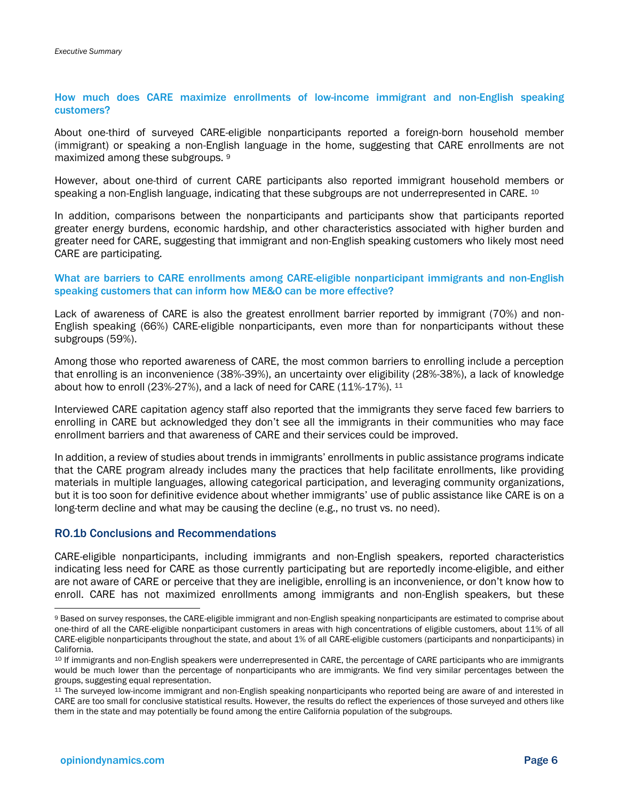#### How much does CARE maximize enrollments of low-income immigrant and non-English speaking customers?

About one-third of surveyed CARE-eligible nonparticipants reported a foreign-born household member (immigrant) or speaking a non-English language in the home, suggesting that CARE enrollments are not maximized among these subgroups. <sup>9</sup>

However, about one-third of current CARE participants also reported immigrant household members or speaking a non-English language, indicating that these subgroups are not underrepresented in CARE. <sup>10</sup>

In addition, comparisons between the nonparticipants and participants show that participants reported greater energy burdens, economic hardship, and other characteristics associated with higher burden and greater need for CARE, suggesting that immigrant and non-English speaking customers who likely most need CARE are participating.

#### What are barriers to CARE enrollments among CARE-eligible nonparticipant immigrants and non-English speaking customers that can inform how ME&O can be more effective?

Lack of awareness of CARE is also the greatest enrollment barrier reported by immigrant (70%) and non-English speaking (66%) CARE-eligible nonparticipants, even more than for nonparticipants without these subgroups (59%).

Among those who reported awareness of CARE, the most common barriers to enrolling include a perception that enrolling is an inconvenience (38%-39%), an uncertainty over eligibility (28%-38%), a lack of knowledge about how to enroll (23%-27%), and a lack of need for CARE (11%-17%). <sup>11</sup>

Interviewed CARE capitation agency staff also reported that the immigrants they serve faced few barriers to enrolling in CARE but acknowledged they don't see all the immigrants in their communities who may face enrollment barriers and that awareness of CARE and their services could be improved.

In addition, a review of studies about trends in immigrants' enrollments in public assistance programs indicate that the CARE program already includes many the practices that help facilitate enrollments, like providing materials in multiple languages, allowing categorical participation, and leveraging community organizations, but it is too soon for definitive evidence about whether immigrants' use of public assistance like CARE is on a long-term decline and what may be causing the decline (e.g., no trust vs. no need).

#### RO.1b Conclusions and Recommendations

CARE-eligible nonparticipants, including immigrants and non-English speakers, reported characteristics indicating less need for CARE as those currently participating but are reportedly income-eligible, and either are not aware of CARE or perceive that they are ineligible, enrolling is an inconvenience, or don't know how to enroll. CARE has not maximized enrollments among immigrants and non-English speakers, but these

<sup>9</sup> Based on survey responses, the CARE-eligible immigrant and non-English speaking nonparticipants are estimated to comprise about one-third of all the CARE-eligible nonparticipant customers in areas with high concentrations of eligible customers, about 11% of all CARE-eligible nonparticipants throughout the state, and about 1% of all CARE-eligible customers (participants and nonparticipants) in California.

<sup>10</sup> If immigrants and non-English speakers were underrepresented in CARE, the percentage of CARE participants who are immigrants would be much lower than the percentage of nonparticipants who are immigrants. We find very similar percentages between the groups, suggesting equal representation.

<sup>11</sup> The surveyed low-income immigrant and non-English speaking nonparticipants who reported being are aware of and interested in CARE are too small for conclusive statistical results. However, the results do reflect the experiences of those surveyed and others like them in the state and may potentially be found among the entire California population of the subgroups.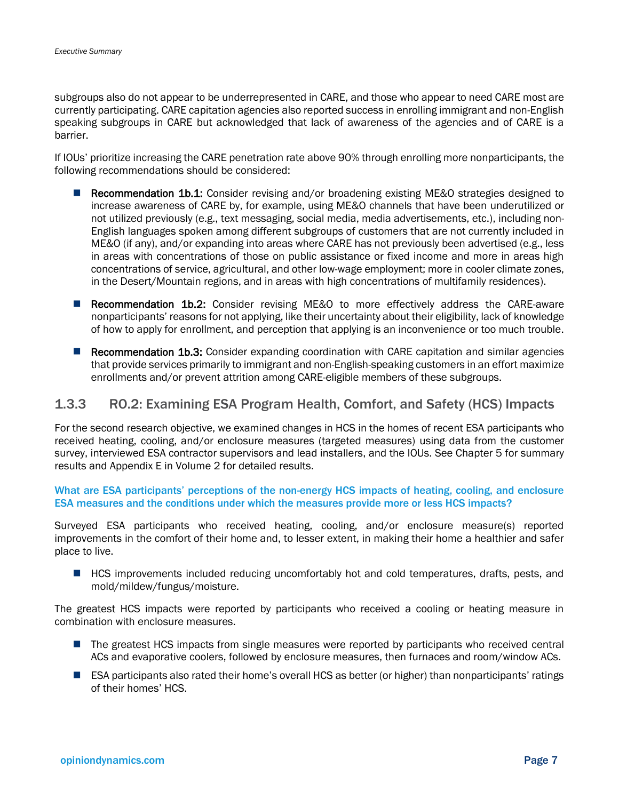subgroups also do not appear to be underrepresented in CARE, and those who appear to need CARE most are currently participating. CARE capitation agencies also reported success in enrolling immigrant and non-English speaking subgroups in CARE but acknowledged that lack of awareness of the agencies and of CARE is a barrier.

If IOUs' prioritize increasing the CARE penetration rate above 90% through enrolling more nonparticipants, the following recommendations should be considered:

- Recommendation 1b.1: Consider revising and/or broadening existing ME&O strategies designed to increase awareness of CARE by, for example, using ME&O channels that have been underutilized or not utilized previously (e.g., text messaging, social media, media advertisements, etc.), including non-English languages spoken among different subgroups of customers that are not currently included in ME&O (if any), and/or expanding into areas where CARE has not previously been advertised (e.g., less in areas with concentrations of those on public assistance or fixed income and more in areas high concentrations of service, agricultural, and other low-wage employment; more in cooler climate zones, in the Desert/Mountain regions, and in areas with high concentrations of multifamily residences).
- Recommendation 1b.2: Consider revising ME&O to more effectively address the CARE-aware nonparticipants' reasons for not applying, like their uncertainty about their eligibility, lack of knowledge of how to apply for enrollment, and perception that applying is an inconvenience or too much trouble.
- Recommendation 1b.3: Consider expanding coordination with CARE capitation and similar agencies that provide services primarily to immigrant and non-English-speaking customers in an effort maximize enrollments and/or prevent attrition among CARE-eligible members of these subgroups.

#### 1.3.3 RO.2: Examining ESA Program Health, Comfort, and Safety (HCS) Impacts

For the second research objective, we examined changes in HCS in the homes of recent ESA participants who received heating, cooling, and/or enclosure measures (targeted measures) using data from the customer survey, interviewed ESA contractor supervisors and lead installers, and the IOUs. See Chapter 5 for summary results and Appendix E in Volume 2 for detailed results.

What are ESA participants' perceptions of the non-energy HCS impacts of heating, cooling, and enclosure ESA measures and the conditions under which the measures provide more or less HCS impacts?

Surveyed ESA participants who received heating, cooling, and/or enclosure measure(s) reported improvements in the comfort of their home and, to lesser extent, in making their home a healthier and safer place to live.

■ HCS improvements included reducing uncomfortably hot and cold temperatures, drafts, pests, and mold/mildew/fungus/moisture.

The greatest HCS impacts were reported by participants who received a cooling or heating measure in combination with enclosure measures.

- The greatest HCS impacts from single measures were reported by participants who received central ACs and evaporative coolers, followed by enclosure measures, then furnaces and room/window ACs.
- ESA participants also rated their home's overall HCS as better (or higher) than nonparticipants' ratings of their homes' HCS.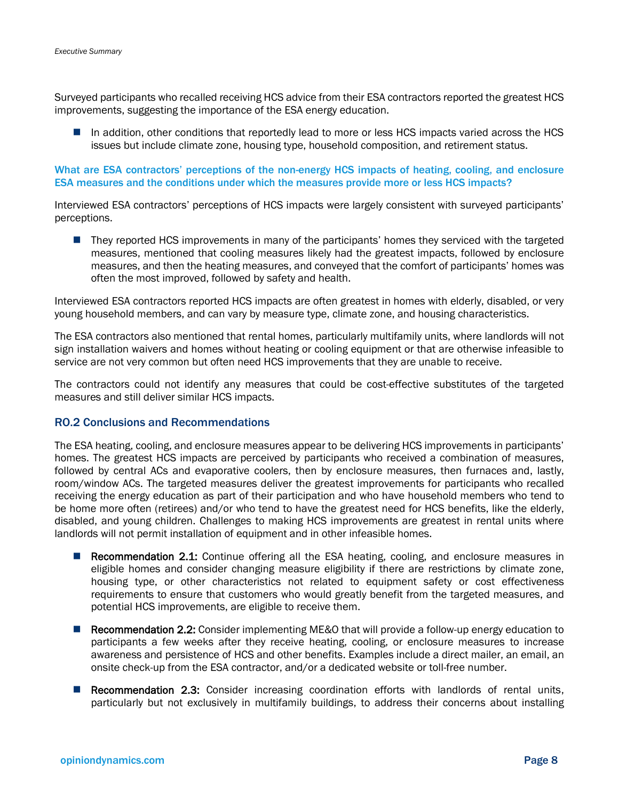Surveyed participants who recalled receiving HCS advice from their ESA contractors reported the greatest HCS improvements, suggesting the importance of the ESA energy education.

■ In addition, other conditions that reportedly lead to more or less HCS impacts varied across the HCS issues but include climate zone, housing type, household composition, and retirement status.

#### What are ESA contractors' perceptions of the non-energy HCS impacts of heating, cooling, and enclosure ESA measures and the conditions under which the measures provide more or less HCS impacts?

Interviewed ESA contractors' perceptions of HCS impacts were largely consistent with surveyed participants' perceptions.

■ They reported HCS improvements in many of the participants' homes they serviced with the targeted measures, mentioned that cooling measures likely had the greatest impacts, followed by enclosure measures, and then the heating measures, and conveyed that the comfort of participants' homes was often the most improved, followed by safety and health.

Interviewed ESA contractors reported HCS impacts are often greatest in homes with elderly, disabled, or very young household members, and can vary by measure type, climate zone, and housing characteristics.

The ESA contractors also mentioned that rental homes, particularly multifamily units, where landlords will not sign installation waivers and homes without heating or cooling equipment or that are otherwise infeasible to service are not very common but often need HCS improvements that they are unable to receive.

The contractors could not identify any measures that could be cost-effective substitutes of the targeted measures and still deliver similar HCS impacts.

#### RO.2 Conclusions and Recommendations

The ESA heating, cooling, and enclosure measures appear to be delivering HCS improvements in participants' homes. The greatest HCS impacts are perceived by participants who received a combination of measures, followed by central ACs and evaporative coolers, then by enclosure measures, then furnaces and, lastly, room/window ACs. The targeted measures deliver the greatest improvements for participants who recalled receiving the energy education as part of their participation and who have household members who tend to be home more often (retirees) and/or who tend to have the greatest need for HCS benefits, like the elderly, disabled, and young children. Challenges to making HCS improvements are greatest in rental units where landlords will not permit installation of equipment and in other infeasible homes.

- Recommendation 2.1: Continue offering all the ESA heating, cooling, and enclosure measures in eligible homes and consider changing measure eligibility if there are restrictions by climate zone, housing type, or other characteristics not related to equipment safety or cost effectiveness requirements to ensure that customers who would greatly benefit from the targeted measures, and potential HCS improvements, are eligible to receive them.
- **Recommendation 2.2:** Consider implementing ME&O that will provide a follow-up energy education to participants a few weeks after they receive heating, cooling, or enclosure measures to increase awareness and persistence of HCS and other benefits. Examples include a direct mailer, an email, an onsite check-up from the ESA contractor, and/or a dedicated website or toll-free number.
- Recommendation 2.3: Consider increasing coordination efforts with landlords of rental units, particularly but not exclusively in multifamily buildings, to address their concerns about installing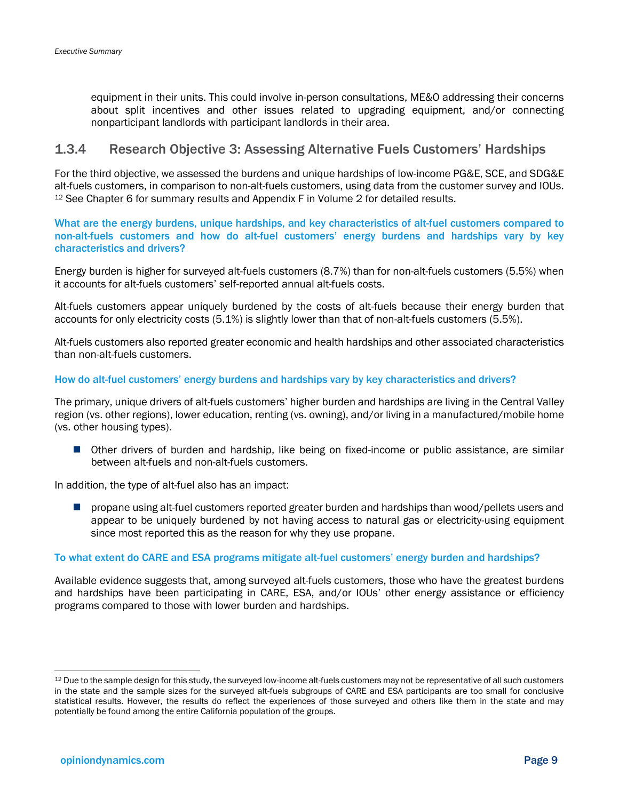equipment in their units. This could involve in-person consultations, ME&O addressing their concerns about split incentives and other issues related to upgrading equipment, and/or connecting nonparticipant landlords with participant landlords in their area.

#### 1.3.4 Research Objective 3: Assessing Alternative Fuels Customers' Hardships

For the third objective, we assessed the burdens and unique hardships of low-income PG&E, SCE, and SDG&E alt-fuels customers, in comparison to non-alt-fuels customers, using data from the customer survey and IOUs. <sup>12</sup> See Chapter 6 for summary results and Appendix F in Volume 2 for detailed results.

What are the energy burdens, unique hardships, and key characteristics of alt-fuel customers compared to non-alt-fuels customers and how do alt-fuel customers' energy burdens and hardships vary by key characteristics and drivers?

Energy burden is higher for surveyed alt-fuels customers (8.7%) than for non-alt-fuels customers (5.5%) when it accounts for alt-fuels customers' self-reported annual alt-fuels costs.

Alt-fuels customers appear uniquely burdened by the costs of alt-fuels because their energy burden that accounts for only electricity costs (5.1%) is slightly lower than that of non-alt-fuels customers (5.5%).

Alt-fuels customers also reported greater economic and health hardships and other associated characteristics than non-alt-fuels customers.

#### How do alt-fuel customers' energy burdens and hardships vary by key characteristics and drivers?

The primary, unique drivers of alt-fuels customers' higher burden and hardships are living in the Central Valley region (vs. other regions), lower education, renting (vs. owning), and/or living in a manufactured/mobile home (vs. other housing types).

■ Other drivers of burden and hardship, like being on fixed-income or public assistance, are similar between alt-fuels and non-alt-fuels customers.

In addition, the type of alt-fuel also has an impact:

■ propane using alt-fuel customers reported greater burden and hardships than wood/pellets users and appear to be uniquely burdened by not having access to natural gas or electricity-using equipment since most reported this as the reason for why they use propane.

#### To what extent do CARE and ESA programs mitigate alt-fuel customers' energy burden and hardships?

Available evidence suggests that, among surveyed alt-fuels customers, those who have the greatest burdens and hardships have been participating in CARE, ESA, and/or IOUs' other energy assistance or efficiency programs compared to those with lower burden and hardships.

<sup>12</sup> Due to the sample design for this study, the surveyed low-income alt-fuels customers may not be representative of all such customers in the state and the sample sizes for the surveyed alt-fuels subgroups of CARE and ESA participants are too small for conclusive statistical results. However, the results do reflect the experiences of those surveyed and others like them in the state and may potentially be found among the entire California population of the groups.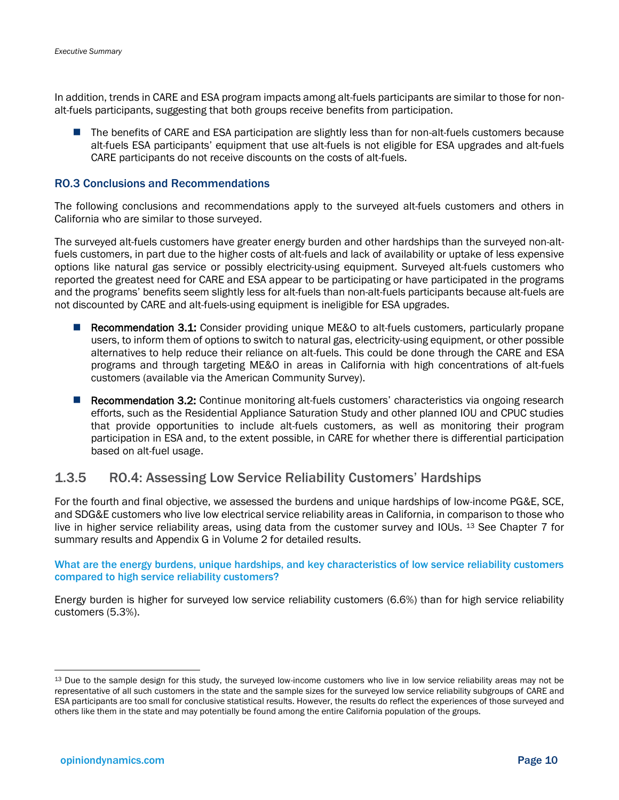In addition, trends in CARE and ESA program impacts among alt-fuels participants are similar to those for nonalt-fuels participants, suggesting that both groups receive benefits from participation.

■ The benefits of CARE and ESA participation are slightly less than for non-alt-fuels customers because alt-fuels ESA participants' equipment that use alt-fuels is not eligible for ESA upgrades and alt-fuels CARE participants do not receive discounts on the costs of alt-fuels.

#### RO.3 Conclusions and Recommendations

The following conclusions and recommendations apply to the surveyed alt-fuels customers and others in California who are similar to those surveyed.

The surveyed alt-fuels customers have greater energy burden and other hardships than the surveyed non-altfuels customers, in part due to the higher costs of alt-fuels and lack of availability or uptake of less expensive options like natural gas service or possibly electricity-using equipment. Surveyed alt-fuels customers who reported the greatest need for CARE and ESA appear to be participating or have participated in the programs and the programs' benefits seem slightly less for alt-fuels than non-alt-fuels participants because alt-fuels are not discounted by CARE and alt-fuels-using equipment is ineligible for ESA upgrades.

- Recommendation 3.1: Consider providing unique ME&O to alt-fuels customers, particularly propane users, to inform them of options to switch to natural gas, electricity-using equipment, or other possible alternatives to help reduce their reliance on alt-fuels. This could be done through the CARE and ESA programs and through targeting ME&O in areas in California with high concentrations of alt-fuels customers (available via the American Community Survey).
- Recommendation 3.2: Continue monitoring alt-fuels customers' characteristics via ongoing research efforts, such as the Residential Appliance Saturation Study and other planned IOU and CPUC studies that provide opportunities to include alt-fuels customers, as well as monitoring their program participation in ESA and, to the extent possible, in CARE for whether there is differential participation based on alt-fuel usage.

#### 1.3.5 RO.4: Assessing Low Service Reliability Customers' Hardships

For the fourth and final objective, we assessed the burdens and unique hardships of low-income PG&E, SCE, and SDG&E customers who live low electrical service reliability areas in California, in comparison to those who live in higher service reliability areas, using data from the customer survey and IOUs. 13 See Chapter 7 for summary results and Appendix G in Volume 2 for detailed results.

What are the energy burdens, unique hardships, and key characteristics of low service reliability customers compared to high service reliability customers?

Energy burden is higher for surveyed low service reliability customers (6.6%) than for high service reliability customers (5.3%).

<sup>&</sup>lt;sup>13</sup> Due to the sample design for this study, the surveyed low-income customers who live in low service reliability areas may not be representative of all such customers in the state and the sample sizes for the surveyed low service reliability subgroups of CARE and ESA participants are too small for conclusive statistical results. However, the results do reflect the experiences of those surveyed and others like them in the state and may potentially be found among the entire California population of the groups.